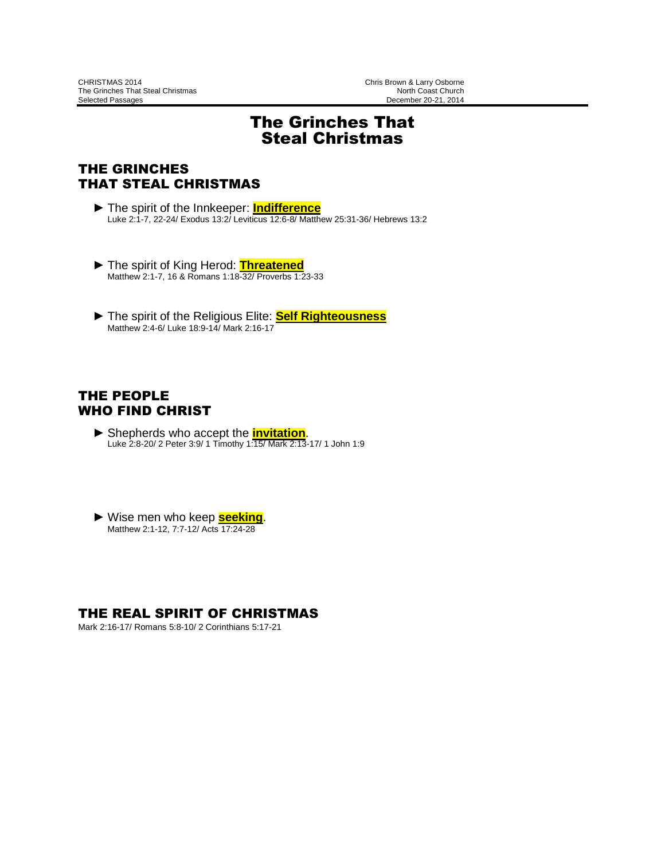# The Grinches That Steal Christmas

# THE GRINCHES THAT STEAL CHRISTMAS

- ► The spirit of the Innkeeper: **Indifference** Luke 2:1-7, 22-24/ Exodus 13:2/ Leviticus 12:6-8/ Matthew 25:31-36/ Hebrews 13:2
- ► The spirit of King Herod: **Threatened** Matthew 2:1-7, 16 & Romans 1:18-32/ Proverbs 1:23-33
- ► The spirit of the Religious Elite: **Self Righteousness** Matthew 2:4-6/ Luke 18:9-14/ Mark 2:16-17

## THE PEOPLE WHO FIND CHRIST

- ► Shepherds who accept the **invitation**. Luke 2:8-20/ 2 Peter 3:9/ 1 Timothy 1:15/ Mark 2:13-17/ 1 John 1:9
- ► Wise men who keep **seeking**. Matthew 2:1-12, 7:7-12/ Acts 17:24-28

## THE REAL SPIRIT OF CHRISTMAS

Mark 2:16-17/ Romans 5:8-10/ 2 Corinthians 5:17-21